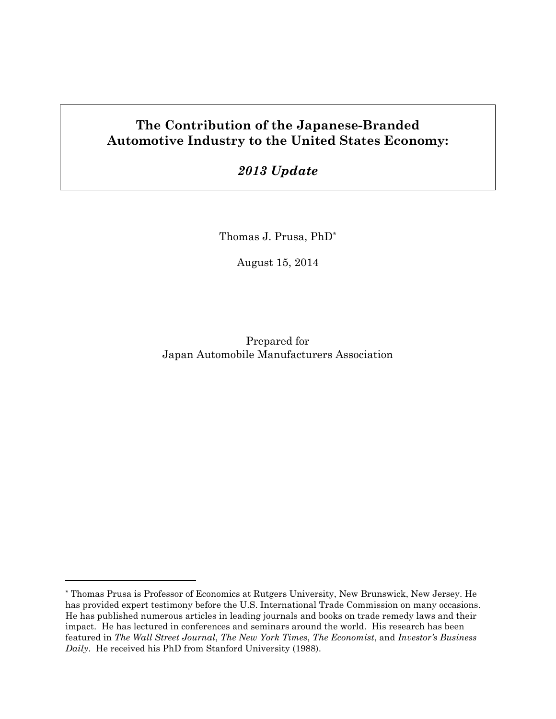# The Contribution of the Japanese-Branded Automotive Industry to the United States Economy:

# 2013 Update

Thomas J. Prusa, PhD\*

August 15, 2014

Prepared for Japan Automobile Manufacturers Association

 $\overline{a}$ 

<sup>\*</sup> Thomas Prusa is Professor of Economics at Rutgers University, New Brunswick, New Jersey. He has provided expert testimony before the U.S. International Trade Commission on many occasions. He has published numerous articles in leading journals and books on trade remedy laws and their impact. He has lectured in conferences and seminars around the world. His research has been featured in The Wall Street Journal, The New York Times, The Economist, and Investor's Business Daily. He received his PhD from Stanford University (1988).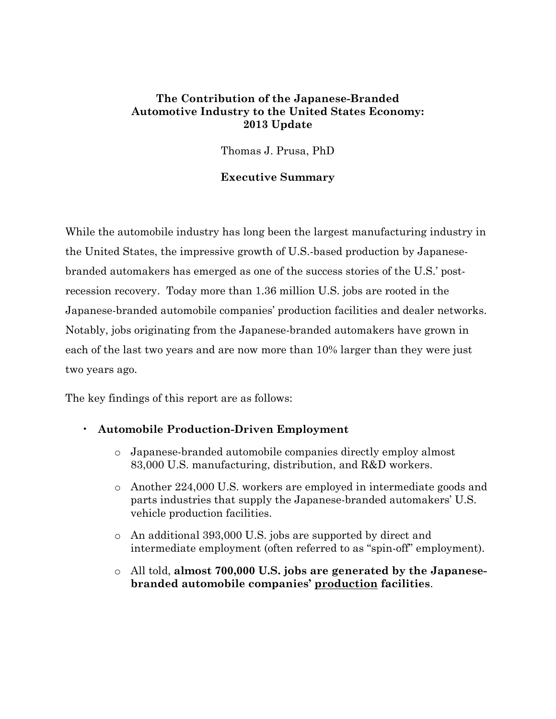### The Contribution of the Japanese-Branded Automotive Industry to the United States Economy: 2013 Update

Thomas J. Prusa, PhD

#### Executive Summary

While the automobile industry has long been the largest manufacturing industry in the United States, the impressive growth of U.S.-based production by Japanesebranded automakers has emerged as one of the success stories of the U.S.' postrecession recovery. Today more than 1.36 million U.S. jobs are rooted in the Japanese-branded automobile companies' production facilities and dealer networks. Notably, jobs originating from the Japanese-branded automakers have grown in each of the last two years and are now more than 10% larger than they were just two years ago.

The key findings of this report are as follows:

#### • Automobile Production-Driven Employment

- o Japanese-branded automobile companies directly employ almost 83,000 U.S. manufacturing, distribution, and R&D workers.
- o Another 224,000 U.S. workers are employed in intermediate goods and parts industries that supply the Japanese-branded automakers' U.S. vehicle production facilities.
- o An additional 393,000 U.S. jobs are supported by direct and intermediate employment (often referred to as "spin-off" employment).
- $\circ$  All told, almost 700,000 U.S. jobs are generated by the Japanesebranded automobile companies' production facilities.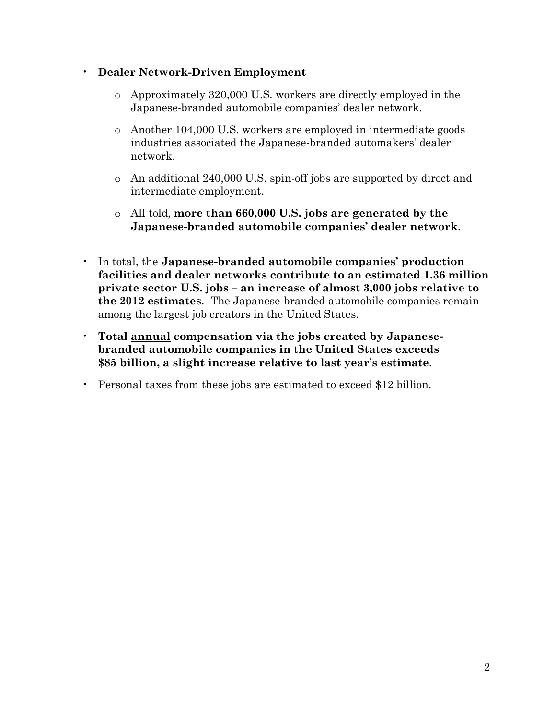## • Dealer Network-Driven Employment

- o Approximately 320,000 U.S. workers are directly employed in the Japanese-branded automobile companies' dealer network.
- o Another 104,000 U.S. workers are employed in intermediate goods industries associated the Japanese-branded automakers' dealer network.
- o An additional 240,000 U.S. spin-off jobs are supported by direct and intermediate employment.
- o All told, more than 660,000 U.S. jobs are generated by the Japanese-branded automobile companies' dealer network.
- In total, the Japanese-branded automobile companies' production facilities and dealer networks contribute to an estimated 1.36 million private sector U.S. jobs – an increase of almost 3,000 jobs relative to the 2012 estimates. The Japanese-branded automobile companies remain among the largest job creators in the United States.
- Total annual compensation via the jobs created by Japanesebranded automobile companies in the United States exceeds \$85 billion, a slight increase relative to last year's estimate.
- Personal taxes from these jobs are estimated to exceed \$12 billion.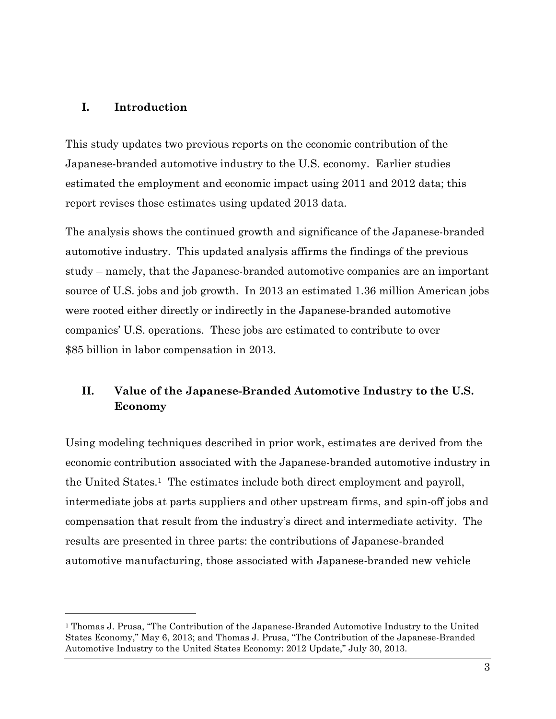#### I. Introduction

 $\overline{a}$ 

This study updates two previous reports on the economic contribution of the Japanese-branded automotive industry to the U.S. economy. Earlier studies estimated the employment and economic impact using 2011 and 2012 data; this report revises those estimates using updated 2013 data.

The analysis shows the continued growth and significance of the Japanese-branded automotive industry. This updated analysis affirms the findings of the previous study – namely, that the Japanese-branded automotive companies are an important source of U.S. jobs and job growth. In 2013 an estimated 1.36 million American jobs were rooted either directly or indirectly in the Japanese-branded automotive companies' U.S. operations. These jobs are estimated to contribute to over \$85 billion in labor compensation in 2013.

# II. Value of the Japanese-Branded Automotive Industry to the U.S. Economy

Using modeling techniques described in prior work, estimates are derived from the economic contribution associated with the Japanese-branded automotive industry in the United States.1 The estimates include both direct employment and payroll, intermediate jobs at parts suppliers and other upstream firms, and spin-off jobs and compensation that result from the industry's direct and intermediate activity. The results are presented in three parts: the contributions of Japanese-branded automotive manufacturing, those associated with Japanese-branded new vehicle

<sup>1</sup> Thomas J. Prusa, "The Contribution of the Japanese-Branded Automotive Industry to the United States Economy," May 6, 2013; and Thomas J. Prusa, "The Contribution of the Japanese-Branded Automotive Industry to the United States Economy: 2012 Update," July 30, 2013.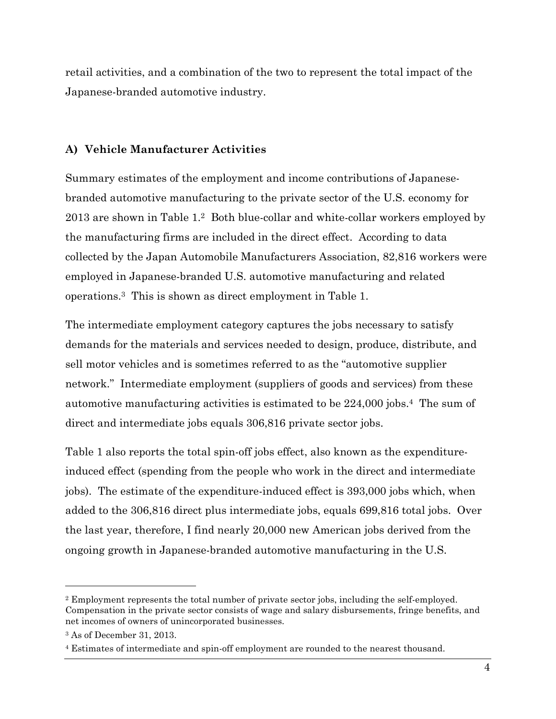retail activities, and a combination of the two to represent the total impact of the Japanese-branded automotive industry.

### A) Vehicle Manufacturer Activities

Summary estimates of the employment and income contributions of Japanesebranded automotive manufacturing to the private sector of the U.S. economy for 2013 are shown in Table 1.2 Both blue-collar and white-collar workers employed by the manufacturing firms are included in the direct effect. According to data collected by the Japan Automobile Manufacturers Association, 82,816 workers were employed in Japanese-branded U.S. automotive manufacturing and related operations.3 This is shown as direct employment in Table 1.

The intermediate employment category captures the jobs necessary to satisfy demands for the materials and services needed to design, produce, distribute, and sell motor vehicles and is sometimes referred to as the "automotive supplier network." Intermediate employment (suppliers of goods and services) from these automotive manufacturing activities is estimated to be 224,000 jobs.4 The sum of direct and intermediate jobs equals 306,816 private sector jobs.

Table 1 also reports the total spin-off jobs effect, also known as the expenditureinduced effect (spending from the people who work in the direct and intermediate jobs). The estimate of the expenditure-induced effect is 393,000 jobs which, when added to the 306,816 direct plus intermediate jobs, equals 699,816 total jobs. Over the last year, therefore, I find nearly 20,000 new American jobs derived from the ongoing growth in Japanese-branded automotive manufacturing in the U.S.

 $\overline{a}$ 

<sup>2</sup> Employment represents the total number of private sector jobs, including the self-employed. Compensation in the private sector consists of wage and salary disbursements, fringe benefits, and net incomes of owners of unincorporated businesses.

<sup>3</sup> As of December 31, 2013.

<sup>4</sup> Estimates of intermediate and spin-off employment are rounded to the nearest thousand.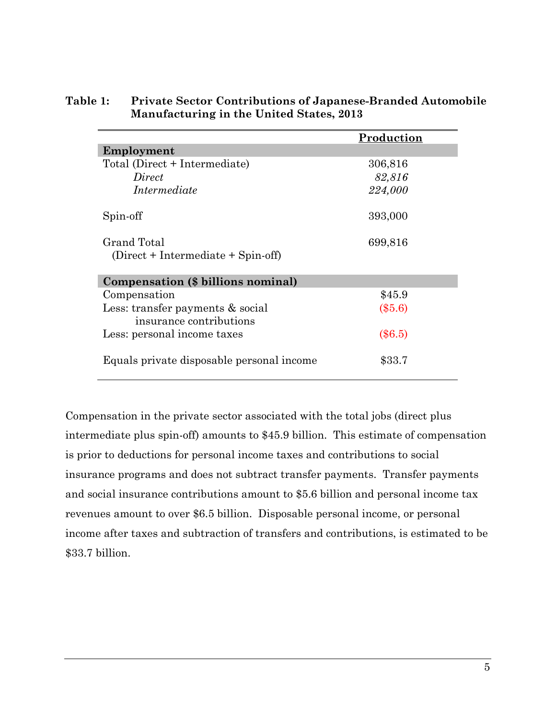|                                                             | Production |
|-------------------------------------------------------------|------------|
| Employment                                                  |            |
| Total (Direct + Intermediate)                               | 306,816    |
| Direct                                                      | 82,816     |
| Intermediate                                                | 224,000    |
| Spin-off                                                    | 393,000    |
| Grand Total<br>$(Direct + Intermediate + Spin-off)$         | 699,816    |
| Compensation (\$ billions nominal)                          |            |
| Compensation                                                | \$45.9     |
| Less: transfer payments & social<br>insurance contributions | $(\$5.6)$  |
| Less: personal income taxes                                 | $(\$6.5)$  |
| Equals private disposable personal income                   | \$33.7     |

## Table 1: Private Sector Contributions of Japanese-Branded Automobile Manufacturing in the United States, 2013

Compensation in the private sector associated with the total jobs (direct plus intermediate plus spin-off) amounts to \$45.9 billion. This estimate of compensation is prior to deductions for personal income taxes and contributions to social insurance programs and does not subtract transfer payments. Transfer payments and social insurance contributions amount to \$5.6 billion and personal income tax revenues amount to over \$6.5 billion. Disposable personal income, or personal income after taxes and subtraction of transfers and contributions, is estimated to be \$33.7 billion.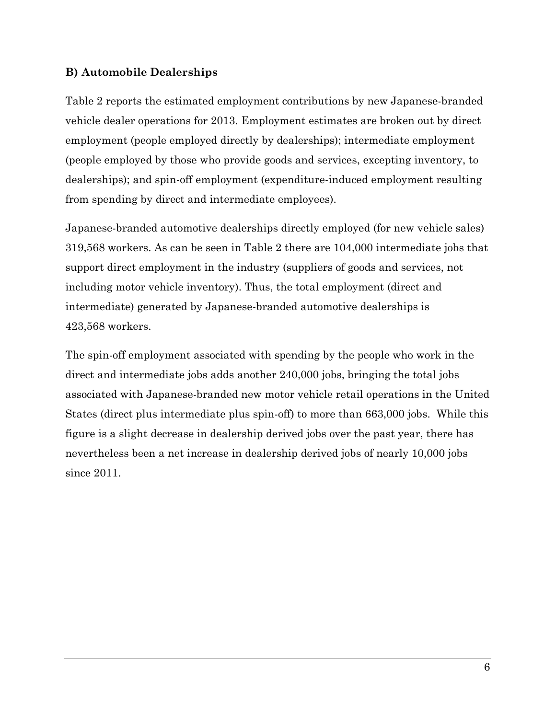### B) Automobile Dealerships

Table 2 reports the estimated employment contributions by new Japanese-branded vehicle dealer operations for 2013. Employment estimates are broken out by direct employment (people employed directly by dealerships); intermediate employment (people employed by those who provide goods and services, excepting inventory, to dealerships); and spin-off employment (expenditure-induced employment resulting from spending by direct and intermediate employees).

Japanese-branded automotive dealerships directly employed (for new vehicle sales) 319,568 workers. As can be seen in Table 2 there are 104,000 intermediate jobs that support direct employment in the industry (suppliers of goods and services, not including motor vehicle inventory). Thus, the total employment (direct and intermediate) generated by Japanese-branded automotive dealerships is 423,568 workers.

The spin-off employment associated with spending by the people who work in the direct and intermediate jobs adds another 240,000 jobs, bringing the total jobs associated with Japanese-branded new motor vehicle retail operations in the United States (direct plus intermediate plus spin-off) to more than 663,000 jobs. While this figure is a slight decrease in dealership derived jobs over the past year, there has nevertheless been a net increase in dealership derived jobs of nearly 10,000 jobs since 2011.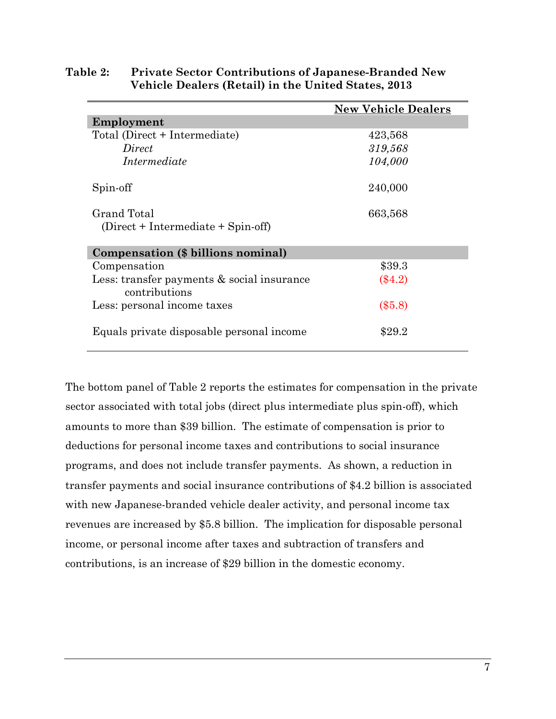|                                                                | <b>New Vehicle Dealers</b> |  |
|----------------------------------------------------------------|----------------------------|--|
| Employment                                                     |                            |  |
| Total (Direct + Intermediate)                                  | 423,568                    |  |
| Direct                                                         | 319,568                    |  |
| Intermediate                                                   | 104,000                    |  |
| Spin-off                                                       | 240,000                    |  |
| Grand Total<br>$(Direct + Intermediate + Spin-off)$            | 663,568                    |  |
| Compensation (\$ billions nominal)                             |                            |  |
| Compensation                                                   | \$39.3                     |  |
| Less: transfer payments $\&$ social insurance<br>contributions | $(\$4.2)$                  |  |
| Less: personal income taxes                                    | $(\$5.8)$                  |  |
| Equals private disposable personal income                      | \$29.2                     |  |

#### Table 2: Private Sector Contributions of Japanese-Branded New Vehicle Dealers (Retail) in the United States, 2013

The bottom panel of Table 2 reports the estimates for compensation in the private sector associated with total jobs (direct plus intermediate plus spin-off), which amounts to more than \$39 billion. The estimate of compensation is prior to deductions for personal income taxes and contributions to social insurance programs, and does not include transfer payments. As shown, a reduction in transfer payments and social insurance contributions of \$4.2 billion is associated with new Japanese-branded vehicle dealer activity, and personal income tax revenues are increased by \$5.8 billion. The implication for disposable personal income, or personal income after taxes and subtraction of transfers and contributions, is an increase of \$29 billion in the domestic economy.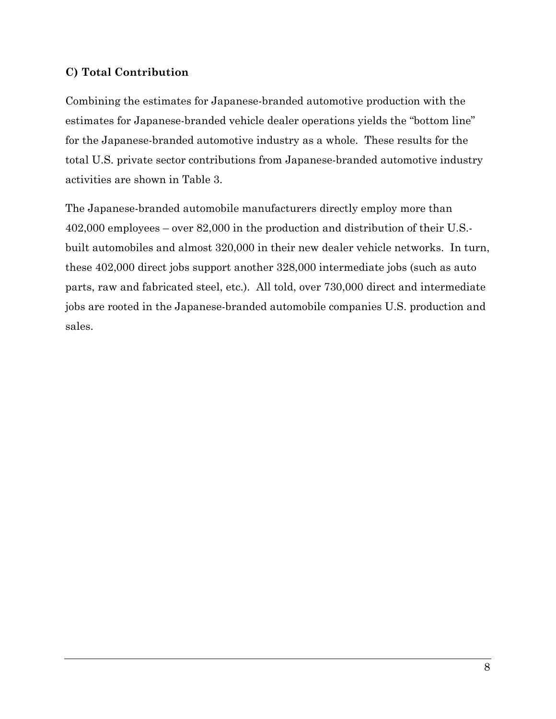## C) Total Contribution

Combining the estimates for Japanese-branded automotive production with the estimates for Japanese-branded vehicle dealer operations yields the "bottom line" for the Japanese-branded automotive industry as a whole. These results for the total U.S. private sector contributions from Japanese-branded automotive industry activities are shown in Table 3.

The Japanese-branded automobile manufacturers directly employ more than 402,000 employees – over 82,000 in the production and distribution of their U.S. built automobiles and almost 320,000 in their new dealer vehicle networks. In turn, these 402,000 direct jobs support another 328,000 intermediate jobs (such as auto parts, raw and fabricated steel, etc.). All told, over 730,000 direct and intermediate jobs are rooted in the Japanese-branded automobile companies U.S. production and sales.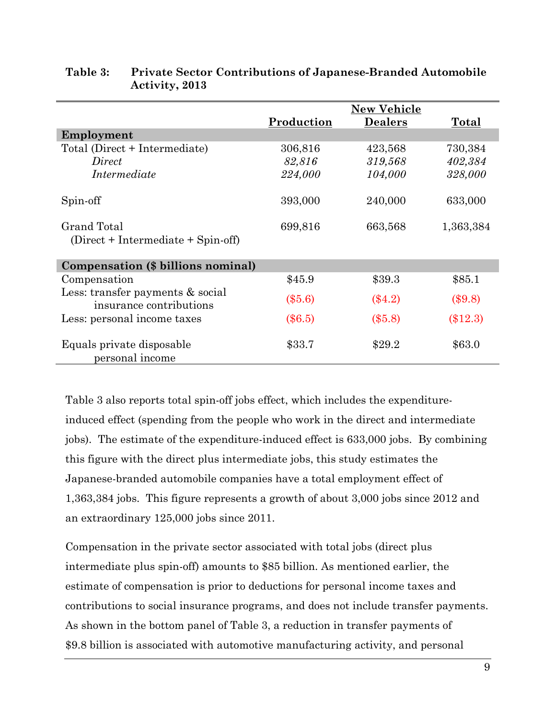|                                                                |            | <b>New Vehicle</b> |            |
|----------------------------------------------------------------|------------|--------------------|------------|
|                                                                | Production | <b>Dealers</b>     | Total      |
| Employment                                                     |            |                    |            |
| Total (Direct + Intermediate)                                  | 306,816    | 423,568            | 730,384    |
| Direct                                                         | 82,816     | 319,568            | 402,384    |
| Intermediate                                                   | 224,000    | 104,000            | 328,000    |
| Spin-off                                                       | 393,000    | 240,000            | 633,000    |
| Grand Total                                                    | 699,816    | 663,568            | 1,363,384  |
| $(Direct + Intermediate + Spin-off)$                           |            |                    |            |
| Compensation (\$ billions nominal)                             |            |                    |            |
| Compensation                                                   | \$45.9     | \$39.3             | \$85.1     |
| Less: transfer payments $\&$ social<br>insurance contributions | $(\$5.6)$  | $(\$4.2)$          | (\$9.8)    |
| Less: personal income taxes                                    | $(\$6.5)$  | $(\$5.8)$          | $(\$12.3)$ |
| Equals private disposable<br>personal income                   | \$33.7     | \$29.2             | \$63.0     |

## Table 3: Private Sector Contributions of Japanese-Branded Automobile Activity, 2013

Table 3 also reports total spin-off jobs effect, which includes the expenditureinduced effect (spending from the people who work in the direct and intermediate jobs). The estimate of the expenditure-induced effect is 633,000 jobs. By combining this figure with the direct plus intermediate jobs, this study estimates the Japanese-branded automobile companies have a total employment effect of 1,363,384 jobs. This figure represents a growth of about 3,000 jobs since 2012 and an extraordinary 125,000 jobs since 2011.

Compensation in the private sector associated with total jobs (direct plus intermediate plus spin-off) amounts to \$85 billion. As mentioned earlier, the estimate of compensation is prior to deductions for personal income taxes and contributions to social insurance programs, and does not include transfer payments. As shown in the bottom panel of Table 3, a reduction in transfer payments of \$9.8 billion is associated with automotive manufacturing activity, and personal